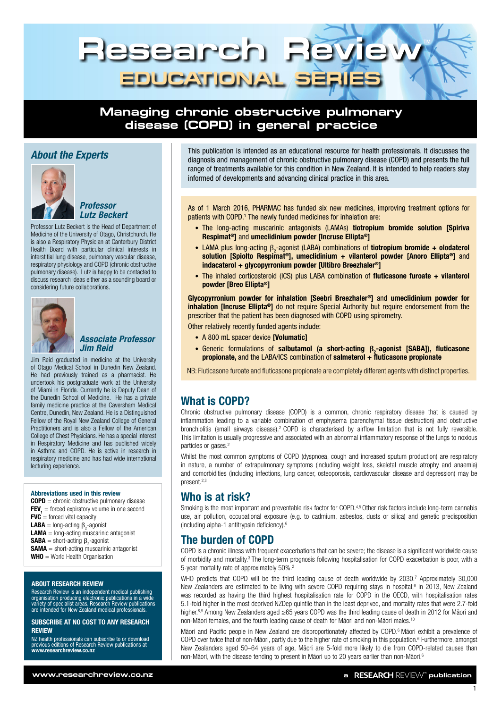

# **Managing chronic obstructive pulmonary disease (COPD) in general practice**



### *Professor Lutz Beckert*

Professor Lutz Beckert is the Head of Department of Medicine of the University of Otago, Christchurch. He is also a Respiratory Physician at Canterbury District Health Board with particular clinical interests in interstitial lung disease, pulmonary vascular disease, respiratory physiology and COPD (chronic obstructive pulmonary disease). Lutz is happy to be contacted to discuss research ideas either as a sounding board or considering future collaborations.



### *Associate Professor Jim Reid*

Jim Reid graduated in medicine at the University of Otago Medical School in Dunedin New Zealand. He had previously trained as a pharmacist. He undertook his postgraduate work at the University of Miami in Florida. Currently he is Deputy Dean of the Dunedin School of Medicine. He has a private family medicine practice at the Caversham Medical Centre, Dunedin, New Zealand. He is a Distinguished Fellow of the Royal New Zealand College of General Practitioners and is also a Fellow of the American College of Chest Physicians. He has a special interest in Respiratory Medicine and has published widely in Asthma and COPD. He is active in research in respiratory medicine and has had wide international lecturing experience.

#### Abbreviations used in this review

 $\text{COPD} = \text{chronic obstructure pulmonary disease}$  $FEV<sub>1</sub>$  = forced expiratory volume in one second  $FVC$  = forced vital capacity **LABA** = long-acting  $\beta_2$ -agonist  $LAMA = long-acting$  muscarinic antagonist **SABA** = short-acting  $\beta_2$ -agonist **SAMA** = short-acting muscarinic antagonist  $WHO = WorId$  Health Organisation

#### ABOUT RESEARCH REVIEW

Research Review is an independent medical publishing organisation producing electronic publications in a wide variety of specialist areas. Research Review publications are intended for New Zealand medical professionals.

#### SUBSCRIBE AT NO COST TO ANY RESEARCH REVIEW

NZ health professionals can subscribe to or download previous editions of Research Review publications at [www.researchreview.co.nz](http://www.researchreview.co.nz)

**About the Experts**<br>
This publication is intended as an educational resource for health professionals. It discusses the full diagnosis and management of chronic obstructive pulmonary disease (COPD) and presents the full range of treatments available for this condition in New Zealand. It is intended to help readers stay informed of developments and advancing clinical practice in this area.

> As of 1 March 2016, PHARMAC has funded six new medicines, improving treatment options for patients with COPD.<sup>1</sup> The newly funded medicines for inhalation are:

- The long-acting muscarinic antagonists (LAMAs) tiotropium bromide solution [Spiriva Respimat®] and umeclidinium powder [Incruse Ellipta®]
- LAMA plus long-acting  $\beta_2$ -agonist (LABA) combinations of **tiotropium bromide + olodaterol** solution [Spiolto Respimat<sup>®</sup>], umeclidinium + vilanterol powder [Anoro Ellipta<sup>®</sup>] and indacaterol + glycopyrronium powder [Ultibro Breezhaler®]
- The inhaled corticosteroid (ICS) plus LABA combination of fluticasone furoate + vilanterol powder [Breo Ellipta®]

Glycopyrronium powder for inhalation [Seebri Breezhaler®] and umeclidinium powder for inhalation [Incruse Ellipta®] do not require Special Authority but require endorsement from the prescriber that the patient has been diagnosed with COPD using spirometry.

Other relatively recently funded agents include:

- A 800 mL spacer device **[Volumatic]**
- Generic formulations of salbutamol (a short-acting β<sub>2</sub>-agonist [SABA]), fluticasone propionate, and the LABA/ICS combination of salmeterol  $+$  fluticasone propionate

NB: Fluticasone furoate and fluticasone propionate are completely different agents with distinct properties.

# What is COPD?

Chronic obstructive pulmonary disease (COPD) is a common, chronic respiratory disease that is caused by inflammation leading to a variable combination of emphysema (parenchymal tissue destruction) and obstructive bronchiolitis (small airways disease).2 COPD is characterised by airflow limitation that is not fully reversible. This limitation is usually progressive and associated with an abnormal inflammatory response of the lungs to noxious particles or gases.<sup>2</sup>

Whilst the most common symptoms of COPD (dyspnoea, cough and increased sputum production) are respiratory in nature, a number of extrapulmonary symptoms (including weight loss, skeletal muscle atrophy and anaemia) and comorbidities (including infections, lung cancer, osteoporosis, cardiovascular disease and depression) may be present 2,3

# Who is at risk?

Smoking is the most important and preventable risk factor for COPD.<sup>4,5</sup> Other risk factors include long-term cannabis use, air pollution, occupational exposure (e.g. to cadmium, asbestos, dusts or silica) and genetic predisposition (including alpha-1 antitrypsin deficiency).<sup>6</sup>

# The burden of COPD

COPD is a chronic illness with frequent exacerbations that can be severe; the disease is a significant worldwide cause of morbidity and mortality.3 The long-term prognosis following hospitalisation for COPD exacerbation is poor, with a 5-year mortality rate of approximately 50%.2

WHO predicts that COPD will be the third leading cause of death worldwide by 2030.7 Approximately 30,000 New Zealanders are estimated to be living with severe COPD requiring stays in hospital;<sup>8</sup> in 2013, New Zealand was recorded as having the third highest hospitalisation rate for COPD in the OECD, with hospitalisation rates 5.1-fold higher in the most deprived NZDep quintile than in the least deprived, and mortality rates that were 2.7-fold higher.8,9 Among New Zealanders aged ≥65 years COPD was the third leading cause of death in 2012 for Māori and non-Māori females, and the fourth leading cause of death for Māori and non-Māori males.10

Māori and Pacific people in New Zealand are disproportionately affected by COPD.<sup>6</sup> Māori exhibit a prevalence of COPD over twice that of non-Māori, partly due to the higher rate of smoking in this population.<sup>6</sup> Furthermore, amongst New Zealanders aged 50–64 years of age, Māori are 5-fold more likely to die from COPD-related causes than non-Māori, with the disease tending to present in Māori up to 20 years earlier than non-Māori.<sup>6</sup>

1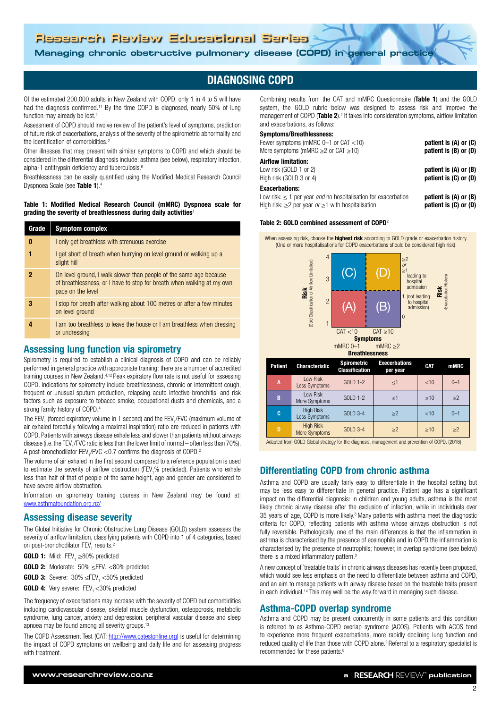# **Managing chronic obstructive pulmonary disease (COPD) in general practice**

# DIAGNOSING COPD

Of the estimated 200,000 adults in New Zealand with COPD, only 1 in 4 to 5 will have had the diagnosis confirmed.<sup>11</sup> By the time COPD is diagnosed, nearly 50% of lung function may already be lost.<sup>2</sup>

Assessment of COPD should involve review of the patient's level of symptoms, prediction of future risk of exacerbations, analysis of the severity of the spirometric abnormality and the identification of comorbidities.<sup>2</sup>

Other illnesses that may present with similar symptoms to COPD and which should be considered in the differential diagnosis include: asthma (see below), respiratory infection, alpha-1 antitrypsin deficiency and tuberculosis.6

Breathlessness can be easily quantified using the Modified Medical Research Council Dyspnoea Scale (see Table 1).4

Table 1: Modified Medical Research Council (mMRC) Dyspnoea scale for grading the severity of breathlessness during daily activities<sup>4</sup>

| Grade | <b>Symptom complex</b>                                                                                                                                            |
|-------|-------------------------------------------------------------------------------------------------------------------------------------------------------------------|
| 0     | I only get breathless with strenuous exercise                                                                                                                     |
| 1     | I get short of breath when hurrying on level ground or walking up a<br>slight hill                                                                                |
| 2     | On level ground, I walk slower than people of the same age because<br>of breathlessness, or I have to stop for breath when walking at my own<br>pace on the level |
| 3     | I stop for breath after walking about 100 metres or after a few minutes<br>on level ground                                                                        |
|       | I am too breathless to leave the house or I am breathless when dressing<br>or undressing                                                                          |
|       |                                                                                                                                                                   |

# Assessing lung function via spirometry

Spirometry is required to establish a clinical diagnosis of COPD and can be reliably performed in general practice with appropriate training; there are a number of accredited training courses in New Zealand.4,12 Peak expiratory flow rate is not useful for assessing COPD. Indications for spirometry include breathlessness, chronic or intermittent cough, frequent or unusual sputum production, relapsing acute infective bronchitis, and risk factors such as exposure to tobacco smoke, occupational dusts and chemicals, and a strong family history of COPD.4

The FEV<sub>1</sub> (forced expiratory volume in 1 second) and the FEV<sub>1</sub>/FVC (maximum volume of air exhaled forcefully following a maximal inspiration) ratio are reduced in patients with COPD. Patients with airways disease exhale less and slower than patients without airways disease (i.e. the FEV<sub>1</sub>/FVC ratio is less than the lower limit of normal – often less than 70%). A post-bronchodilator  $\text{FEV}_1/\text{FVC} < 0.7$  confirms the diagnosis of COPD.<sup>2</sup>

The volume of air exhaled in the first second compared to a reference population is used to estimate the severity of airflow obstruction (FEV<sub>1</sub>% predicted). Patients who exhale less than half of that of people of the same height, age and gender are considered to have severe airflow obstruction.

Information on spirometry training courses in New Zealand may be found at: [www.asthmafoundation.org.nz/](https://www.asthmafoundation.org.nz)

### Assessing disease severity

The Global Initiative for Chronic Obstructive Lung Disease (GOLD) system assesses the severity of airflow limitation, classifying patients with COPD into 1 of 4 categories, based on post-bronchodilator FEV<sub>1</sub> results.<sup>2</sup>

- **GOLD 1:** Mild:  $\text{FEV}_1 \geq 80\%$  predicted
- **GOLD 2:** Moderate:  $50\% \leq FEV$ <sub>1</sub> <80% predicted
- **GOLD 3:** Severe:  $30\%$   $\leq$ FEV<sub>1</sub>  $<$ 50% predicted
- **GOLD 4:** Very severe: FEV, <30% predicted

The frequency of exacerbations may increase with the severity of COPD but comorbidities including cardiovascular disease, skeletal muscle dysfunction, osteoporosis, metabolic syndrome, lung cancer, anxiety and depression, peripheral vascular disease and sleep apnoea may be found among all severity groups.13

The COPD Assessment Test (CAT: [http://www.catestonline.org](http://www.catestonline.org/english/index.htm)) is useful for determining the impact of COPD symptoms on wellbeing and daily life and for assessing progress with treatment

Combining results from the CAT and mMRC Questionnaire (Table 1) and the GOLD system, the GOLD rubric below was designed to assess risk and improve the management of COPD (Table 2).<sup>2</sup> It takes into consideration symptoms, airflow limitation and exacerbations, as follows:

#### Symptoms/Breathlessness:

| Fewer symptoms (mMRC $0-1$ or CAT $<$ 10)                                  | patient is $(A)$ or $(C)$ |
|----------------------------------------------------------------------------|---------------------------|
| More symptoms (mMRC $\geq$ 2 or CAT $\geq$ 10)                             | patient is $(B)$ or $(D)$ |
| <b>Airflow limitation:</b>                                                 |                           |
| Low risk (GOLD 1 or 2)                                                     | patient is (A) or (B)     |
| High risk (GOLD 3 or 4)                                                    | patient is (C) or (D)     |
| <b>Exacerbations:</b>                                                      |                           |
| Low risk: $\leq$ 1 per year <i>and</i> no hospitalisation for exacerbation | patient is (A) or (B)     |

High risk:  $\geq$ 2 per year *or*  $\geq$ 1 with hospitalisation **patient is (C) or (D)** 

#### Table 2: GOLD combined assessment of COPD<sup>2</sup>

When assessing risk, choose the **highest risk** according to GOLD grade or exacerbation history. (One or more hospitalisations for COPD exacerbations should be considered high risk).



Adapted from GOLD Global strategy for the diagnosis, management and prevention of COPD. (2016)

**C** High Risk  $\begin{array}{|c|c|c|c|c|}\n\hline\n\text{Less Symptoms} & \text{GOLD 3-4} & \geq 2 & & < 10 & 0-1\n\end{array}$ 

 $Mose Symptoms$  GOLD 3-4  $\ge$ 2  $\ge$ 10  $\ge$ 2

## Differentiating COPD from chronic asthma

D High Risk

Asthma and COPD are usually fairly easy to differentiate in the hospital setting but may be less easy to differentiate in general practice. Patient age has a significant imact on the differential diagnosis: in children and young adults, asthma is the most likely chronic airway disease after the exclusion of infection, while in individuals over 35 years of age, COPD is more likely.6 Many patients with asthma meet the diagnostic criteria for COPD, reflecting patients with asthma whose airways obstruction is not fully reversible. Pathologically, one of the main differences is that the inflammation in asthma is characterised by the presence of eosinophils and in COPD the inflammation is characterised by the presence of neutrophils; however, in overlap syndrome (see below) there is a mixed inflammatory pattern.2

A new concept of `treatable traits' in chronic airways diseases has recently been proposed, which would see less emphasis on the need to differentiate between asthma and COPD, and an aim to manage patients with airway disease based on the treatable traits present in each individual.<sup>14</sup> This may well be the way forward in managing such disease.

### Asthma-COPD overlap syndrome

Asthma and COPD may be present concurrently in some patients and this condition is referred to as Asthma-COPD overlap syndrome (ACOS). Patients with ACOS tend to experience more frequent exacerbations, more rapidly declining lung function and reduced quality of life than those with COPD alone.2 Referral to a respiratory specialist is recommended for these patients.6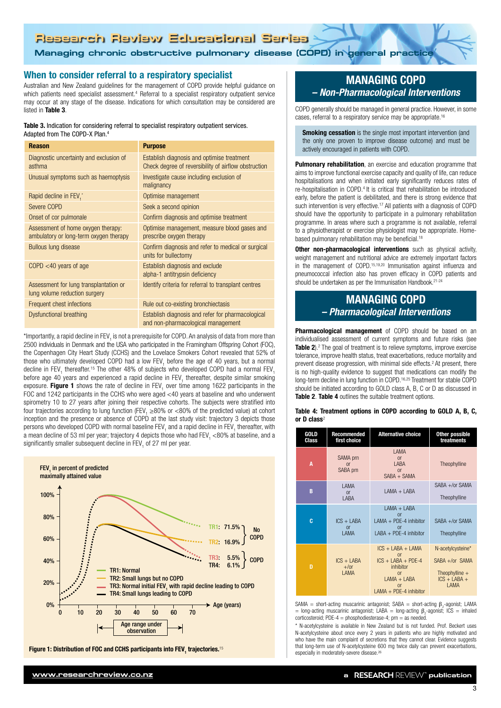# **Managing chronic obstructive pulmonary disease (COPD) in general practice Managing chronic obstructive pulmonary disease (COPD) in general practice**

## When to consider referral to a respiratory specialist

Australian and New Zealand guidelines for the management of COPD provide helpful guidance on which patients need specialist assessment.<sup>4</sup> Referral to a specialist respiratory outpatient service may occur at any stage of the disease. Indications for which consultation may be considered are listed in Table 3.

#### Table 3. Indication for considering referral to specialist respiratory outpatient services. Adapted from The COPD-X Plan.<sup>4</sup>

| <b>Reason</b>                                                                | <b>Purpose</b>                                                                                     |  |  |  |
|------------------------------------------------------------------------------|----------------------------------------------------------------------------------------------------|--|--|--|
| Diagnostic uncertainty and exclusion of<br>asthma                            | Establish diagnosis and optimise treatment<br>Check degree of reversibility of airflow obstruction |  |  |  |
| Unusual symptoms such as haemoptysis                                         | Investigate cause including exclusion of<br>malignancy                                             |  |  |  |
| Rapid decline in FEV,*                                                       | Optimise management                                                                                |  |  |  |
| Severe COPD                                                                  | Seek a second opinion                                                                              |  |  |  |
| Onset of cor pulmonale                                                       | Confirm diagnosis and optimise treatment                                                           |  |  |  |
| Assessment of home oxygen therapy:<br>ambulatory or long-term oxygen therapy | Optimise management, measure blood gases and<br>prescribe oxygen therapy                           |  |  |  |
| <b>Bullous lung disease</b>                                                  | Confirm diagnosis and refer to medical or surgical<br>units for bullectomy                         |  |  |  |
| $COPD < 40$ years of age                                                     | Establish diagnosis and exclude<br>alpha-1 antitrypsin deficiency                                  |  |  |  |
| Assessment for lung transplantation or<br>lung volume reduction surgery      | Identify criteria for referral to transplant centres                                               |  |  |  |
| Frequent chest infections                                                    | Rule out co-existing bronchiectasis                                                                |  |  |  |
| <b>Dysfunctional breathing</b>                                               | Establish diagnosis and refer for pharmacological<br>and non-pharmacological management            |  |  |  |

\*Importantly, a rapid decline in FEV<sub>1</sub> is not a prerequisite for COPD. An analysis of data from more than 2500 individuals in Denmark and the USA who participated in the Framingham Offspring Cohort (FOC), the Copenhagen City Heart Study (CCHS) and the Lovelace Smokers Cohort revealed that 52% of those who ultimately developed COPD had a low FEV<sub>1</sub> before the age of 40 years, but a normal decline in FEV<sub>1</sub> thereafter.<sup>15</sup> The other 48% of subjects who developed COPD had a normal FEV<sub>1</sub> before age 40 years and experienced a rapid decline in FEV<sub>1</sub> thereafter, despite similar smoking exposure. **Figure 1** shows the rate of decline in FEV<sub>1</sub> over time among 1622 participants in the FOC and 1242 participants in the CCHS who were aged <40 years at baseline and who underwent spirometry 10 to 27 years after joining their respective cohorts. The subjects were stratified into four trajectories according to lung function (FEV<sub>1</sub>  ${\geq}80\%$  or  ${<}80\%$  of the predicted value) at cohort inception and the presence or absence of COPD at the last study visit: trajectory 3 depicts those persons who developed COPD with normal baseline FEV<sub>1</sub> and a rapid decline in FEV<sub>1</sub> thereafter, with a mean decline of 53 ml per year; trajectory 4 depicts those who had FEV<sub>1</sub> <80% at baseline, and a significantly smaller subsequent decline in FEV<sub>1</sub> of 27 ml per year.



Figure 1: Distribution of FOC and CCHS participants into FEV<sub>,</sub> trajectories.<sup>15</sup>

# MANAGING COPD *– Non-Pharmacological Interventions*

COPD generally should be managed in general practice. However, in some cases, referral to a respiratory service may be appropriate.16

**Smoking cessation** is the single most important intervention (and the only one proven to improve disease outcome) and must be actively encouraged in patients with COPD.

Pulmonary rehabilitation, an exercise and education programme that aims to improve functional exercise capacity and quality of life, can reduce hospitalisations and when initiated early significantly reduces rates of re-hospitalisation in COPD.4 It is critical that rehabilitation be introduced early, before the patient is debilitated, and there is strong evidence that such intervention is very effective.<sup>17</sup> All patients with a diagnosis of COPD should have the opportunity to participate in a pulmonary rehabilitation programme. In areas where such a programme is not available, referral to a physiotherapist or exercise physiologist may be appropriate. Homebased pulmonary rehabilitation may be beneficial.<sup>18</sup>

Other non-pharmacological interventions such as physical activity, weight management and nutritional advice are extremely important factors in the management of COPD.15,19,20 Immunisation against influenza and pneumococcal infection also has proven efficacy in COPD patients and should be undertaken as per the Immunisation Handbook.<sup>21-24</sup>

# MANAGING COPD *– Pharmacological Interventions*

Pharmacological management of COPD should be based on an individualised assessment of current symptoms and future risks (see Table 2).<sup>2</sup> The goal of treatment is to relieve symptoms, improve exercise tolerance, improve health status, treat exacerbations, reduce mortality and prevent disease progression, with minimal side effects.<sup>2</sup> At present, there is no high-quality evidence to suggest that medications can modify the long-term decline in lung function in COPD.16,25 Treatment for stable COPD should be initiated according to GOLD class A, B, C or D as discussed in Table 2. Table 4 outlines the suitable treatment options.

#### Table 4: Treatment options in COPD according to GOLD A, B, C, or D class<sup>2</sup>

| GOLD<br>Class | Recommended<br>first choice            | <b>Alternative choice</b>                                                                                                               |                                                                                      |
|---------------|----------------------------------------|-----------------------------------------------------------------------------------------------------------------------------------------|--------------------------------------------------------------------------------------|
| A             | SAMA prn<br>or<br>SABA prn             | I AMA<br>or<br>I ABA<br>or<br>$SABA + SAMA$                                                                                             | Theophylline                                                                         |
| B             | I AMA<br><b>or</b><br>I ABA            | $IAMA + IABA$                                                                                                                           | SABA +/or SAMA<br>Theophylline                                                       |
| c             | $ICS + LABA$<br>or<br><b>I AMA</b>     | $IAMA + IABA$<br>or<br>$LAMA + PDE-4$ inhibitor<br>nr<br>$I$ ABA + PDF-4 inhibitor                                                      | $SABA +/or SAMA$<br>Theophylline                                                     |
| D             | $ICS + IABA$<br>$+$ /or<br><b>LAMA</b> | $ICS + LABA + LAMA$<br>$\alpha$ r<br>$ICS + LABA + PDF-4$<br>inhibitor<br>or<br>$LAMA + LABA$<br>$\Omega$ r<br>$LAMA + PDE-4$ inhibitor | N-acetylcysteine*<br>$SABA +/or$ SAMA<br>Theophylline $+$<br>$ICS + IABA +$<br>I AMA |

SAMA = short-acting muscarinic antagonist;  $SABA = short\text{-}acting \beta_2\text{-}agonist; LAMA$ = long-acting muscarinic antagonist; LABA = long-acting  $\beta_2$ -agonist; ICS = inhaled corticosteroid; PDE-4 = phosphodiesterase-4; prn = as needed.

\* N-acetylcysteine is available in New Zealand but is not funded. Prof. Beckert uses N-acetylcysteine about once every 2 years in patients who are highly motivated and who have the main complaint of secretions that they cannot clear. Evidence suggests that long-term use of N-acetylcysteine 600 mg twice daily can prevent exacerbations, especially in moderately-severe disease.26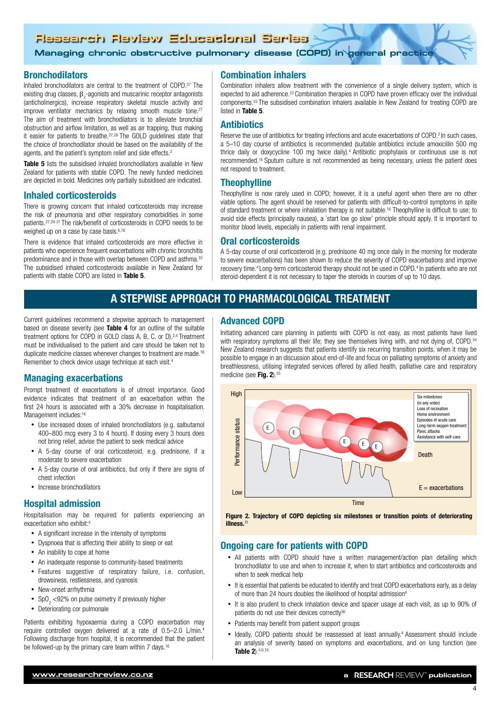**Managing chronic obstructive pulmonary disease (COPD) in general practice**

### Bronchodilators

Inhaled bronchodilators are central to the treatment of COPD.<sup>27</sup> The existing drug classes,  $\beta_2$ -agonists and muscarinic receptor antagonists (anticholinergics), increase respiratory skeletal muscle activity and improve ventilator mechanics by relaxing smooth muscle tone.<sup>27</sup> The aim of treatment with bronchodilators is to alleviate bronchial obstruction and airflow limitation, as well as air trapping, thus making it easier for patients to breathe.27,28 The GOLD guidelines state that the choice of bronchodilator should be based on the availability of the agents, and the patient's symptom relief and side effects.<sup>2</sup>

**Table 5** lists the subsidised inhaled bronchodilators available in New Zealand for patients with stable COPD. The newly funded medicines are depicted in bold. Medicines only partially subsidised are indicated.

### Inhaled corticosteroids

There is growing concern that inhaled corticosteroids may increase the risk of pneumonia and other respiratory comorbidities in some patients.27,29-31 The risk/benefit of corticosteroids in COPD needs to be weighed up on a case by case basis.<sup>6,16</sup>

There is evidence that inhaled corticosteroids are more effective in patients who experience frequent exacerbations with chronic bronchitis predominance and in those with overlap between COPD and asthma.32 The subsidised inhaled corticosteroids available in New Zealand for patients with stable COPD are listed in Table 5.

Current guidelines recommend a stepwise approach to management based on disease severity (see Table 4 for an outline of the suitable treatment options for COPD in GOLD class A, B, C, or D).<sup>2,4</sup> Treatment must be individualised to the patient and care should be taken not to duplicate medicine classes whenever changes to treatment are made.16

# Combination inhalers

Combination inhalers allow treatment with the convenience of a single delivery system, which is expected to aid adherence.<sup>33</sup> Combination therapies in COPD have proven efficacy over the individual components.33 The subsidised combination inhalers available in New Zealand for treating COPD are listed in Table 5.

## **Antibiotics**

Reserve the use of antibiotics for treating infections and acute exacerbations of COPD.<sup>2</sup> In such cases, a 5–10 day course of antibiotics is recommended (suitable antibiotics include amoxicillin 500 mg thrice daily or doxycycline 100 mg twice daily).4 Antibiotic prophylaxis or continuous use is not recommended.16 Sputum culture is not recommended as being necessary, unless the patient does not respond to treatment.

# **Theophylline**

Theophylline is now rarely used in COPD; however, it is a useful agent when there are no other viable options. The agent should be reserved for patients with difficult-to-control symptoms in spite of standard treatment or where inhalation therapy is not suitable.16 Theophylline is difficult to use; to avoid side effects (principally nausea), a `start low go slow' principle should apply. It is important to monitor blood levels, especially in patients with renal impairment.

### Oral corticosteroids

A 5-day course of oral corticosteroid (e.g. prednisone 40 mg once daily in the morning for moderate to severe exacerbations) has been shown to reduce the severity of COPD exacerbations and improve recovery time.4 Long-term corticosteroid therapy should not be used in COPD.4 In patients who are not steroid-dependent it is not necessary to taper the steroids in courses of up to 10 days.

# A STEPWISE APPROACH TO PHARMACOLOGICAL TREATMENT

### Advanced COPD

Initiating advanced care planning in patients with COPD is not easy, as most patients have lived with respiratory symptoms all their life; they see themselves living with, and not dying of, COPD.<sup>34</sup> New Zealand research suggests that patients identify six recurring transition points, when it may be possible to engage in an discussion about end-of-life and focus on palliating symptoms of anxiety and breathlessness, utilising integrated services offered by allied health, palliative care and respiratory medicine (see Fig. 2).<sup>35</sup>



Figure 2. Trajectory of COPD depicting six milestones or transition points of deteriorating illness<sup>35</sup>

# Ongoing care for patients with COPD

- All natients with COPD should have a written management/action plan detailing which bronchodilator to use and when to increase it, when to start antibiotics and corticosteroids and when to seek medical help
- It is essential that patients be educated to identify and treat COPD exacerbations early, as a delay of more than 24 hours doubles the likelihood of hospital admission<sup>4</sup>
- It is also prudent to check inhalation device and spacer usage at each visit, as up to 90% of patients do not use their devices correctly<sup>36</sup>
- Patients may benefit from patient support groups
- Ideally, COPD patients should be reassessed at least annually.<sup>4</sup> Assessment should include an analysis of severity based on symptoms and exacerbations, and on lung function (see Table 2).4,6,16

# Managing exacerbations

Prompt treatment of exacerbations is of utmost importance. Good evidence indicates that treatment of an exacerbation within the first 24 hours is associated with a 30% decrease in hospitalisation. Management includes:<sup>16</sup>

Remember to check device usage technique at each visit.<sup>4</sup>

- Use increased doses of inhaled bronchodilators (e.g. salbutamol 400–800 mcg every 3 to 4 hours). If dosing every 3 hours does not bring relief, advise the patient to seek medical advice
- • A 5-day course of oral corticosteroid, e.g. prednisone, if a moderate to severe exacerbation
- A 5-day course of oral antibiotics, but only if there are signs of chest infection
- • Increase bronchodilators

## Hospital admission

Hospitalisation may be required for patients experiencing an exacerbation who exhibit:4

- A significant increase in the intensity of symptoms
- Dyspnoea that is affecting their ability to sleep or eat
- An inability to cope at home
- An inadequate response to community-based treatments
- Features suggestive of respiratory failure, i.e. confusion, drowsiness, restlessness, and cyanosis
- New-onset arrhythmia
- SpO<sub>2</sub> <92% on pulse oximetry if previously higher
- Deteriorating cor pulmonale

Patients exhibiting hypoxaemia during a COPD exacerbation may require controlled oxygen delivered at a rate of 0.5–2.0 L/min.4 Following discharge from hospital, it is recommended that the patient be followed-up by the primary care team within 7 days.<sup>16</sup>

4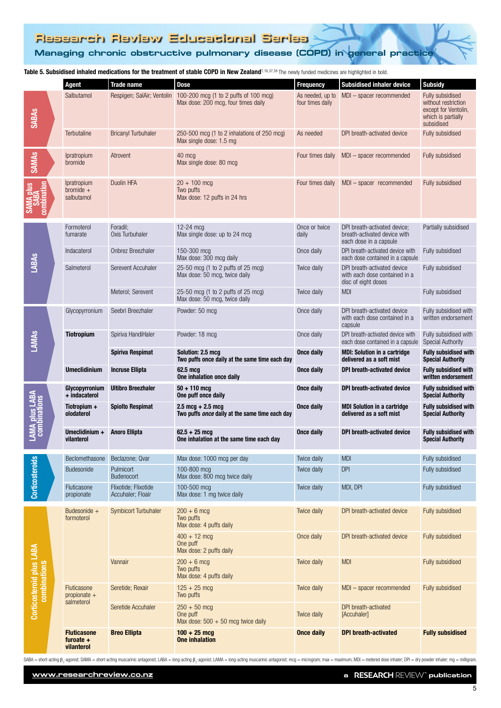# **Managing chronic obstructive pulmonary disease (COPD) in general practice Managing chronic obstructive pulmonary disease (COPD) in general practice**

Table 5. Subsidised inhaled medications for the treatment of stable COPD in New Zealand<sup>1</sup>*,*16,37,38 The newly funded medicines are highlighted in bold.

|                                                 |  | <b>Agent</b>                                    | <b>Trade name</b>                         | <b>Dose</b>                                                                           | <b>Frequency</b>                     | The newly funded medicines are ingringited in bold<br>Subsidised inhaler device        | <b>Subsidy</b>                                                                                      |
|-------------------------------------------------|--|-------------------------------------------------|-------------------------------------------|---------------------------------------------------------------------------------------|--------------------------------------|----------------------------------------------------------------------------------------|-----------------------------------------------------------------------------------------------------|
| <b>SABAs</b>                                    |  | Salbutamol                                      | Respigen; SalAir; Ventolin                | 100-200 mcg (1 to 2 puffs of 100 mcg)<br>Max dose: 200 mcg, four times daily          | As needed, up to<br>four times daily | MDI - spacer recommended                                                               | Fully subsidised<br>without restriction<br>except for Ventolin,<br>which is partially<br>subsidised |
|                                                 |  | Terbutaline                                     | <b>Bricanyl Turbuhaler</b>                | $250-500$ mcg (1 to 2 inhalations of 250 mcg)<br>Max single dose: 1.5 mg              | As needed                            | DPI breath-activated device                                                            | Fully subsidised                                                                                    |
| <b>SAMAS</b>                                    |  | <i>Ipratropium</i><br>bromide                   | Atrovent                                  | 40 mcg<br>Max single dose: 80 mcg                                                     | Four times daily                     | MDI - spacer recommended                                                               | Fully subsidised                                                                                    |
|                                                 |  | <i>Ipratropium</i><br>bromide $+$<br>salbutamol | Duolin HFA                                | $20 + 100$ mcg<br>Two puffs<br>Max dose: 12 puffs in 24 hrs                           | Four times daily                     | $MDI - spacer$ recommended                                                             | Fully subsidised                                                                                    |
|                                                 |  | Formoterol<br>fumarate                          | Foradil;<br>Oxis Turbuhaler               | $12-24$ mcg<br>Max single dose: up to 24 mcg                                          | Once or twice<br>daily               | DPI breath-activated device;<br>breath-activated device with<br>each dose in a capsule | Partially subsidised                                                                                |
|                                                 |  | Indacaterol                                     | Onbrez Breezhaler                         | 150-300 mcg<br>Max dose: 300 mcg daily                                                | Once daily                           | DPI breath-activated device with<br>each dose contained in a capsule                   | Fully subsidised                                                                                    |
| <b>LABAS</b>                                    |  | Salmeterol                                      | Serevent Accuhaler                        | 25-50 mcg (1 to 2 puffs of 25 mcg)<br>Max dose: 50 mcg, twice daily                   | Twice daily                          | DPI breath-activated device<br>with each dose contained in a<br>disc of eight doses    | Fully subsidised                                                                                    |
|                                                 |  |                                                 | Meterol; Serevent                         | 25-50 mcg (1 to 2 puffs of 25 mcg)<br>Max dose: 50 mcg, twice daily                   | Twice daily                          | <b>MDI</b>                                                                             | Fully subsidised                                                                                    |
|                                                 |  | Glycopyrronium                                  | Seebri Breezhaler                         | Powder: 50 mcg                                                                        | Once daily                           | DPI breath-activated device<br>with each dose contained in a<br>capsule                | Fully subsidised with<br>written endorsement                                                        |
| <b>LAMAS</b>                                    |  | <b>Tiotropium</b>                               | Spiriva HandiHaler                        | Powder: 18 mcg                                                                        | Once daily                           | DPI breath-activated device with<br>each dose contained in a capsule                   | Fully subsidised with<br><b>Special Authority</b>                                                   |
|                                                 |  |                                                 | Spiriva Respimat                          | Solution: 2.5 mcg<br>Two puffs once daily at the same time each day                   | Once daily                           | <b>MDI: Solution in a cartridge</b><br>delivered as a soft mist                        | <b>Fully subsidised with</b><br><b>Special Authority</b>                                            |
|                                                 |  | <b>Umeclidinium</b>                             | <b>Incruse Ellipta</b>                    | 62.5 mcg<br>One inhalation once daily                                                 | <b>Once daily</b>                    | DPI breath-activated device                                                            | <b>Fully subsidised with</b><br>written endorsement                                                 |
|                                                 |  | Glycopyrronium<br>+ indacaterol                 | <b>Ultibro Breezhaler</b>                 | $50 + 110$ mcg<br>One puff once daily                                                 | Once daily                           | DPI breath-activated device                                                            | <b>Fully subsidised with</b><br><b>Special Authority</b>                                            |
| <b>LAMA plus LABA</b><br>combinations           |  | Tiotropium +<br>olodaterol                      | <b>Spiolto Respimat</b>                   | $2.5 \text{ mcg} + 2.5 \text{ mcg}$<br>Two puffs once daily at the same time each day | <b>Once daily</b>                    | <b>MDI Solution in a cartridge</b><br>delivered as a soft mist                         | <b>Fully subsidised with</b><br><b>Special Authority</b>                                            |
|                                                 |  | Umeclidinium +<br>vilanterol                    | <b>Anoro Ellipta</b>                      | $62.5 + 25$ mcg<br>One inhalation at the same time each day                           | Once daily                           | DPI breath-activated device                                                            | <b>Fully subsidised with</b><br><b>Special Authority</b>                                            |
|                                                 |  | Beclomethasone                                  | Beclazone; Qvar                           | Max dose: 1000 mcg per day                                                            | Twice daily                          | <b>MDI</b>                                                                             | Fully subsidised                                                                                    |
| <b>Corticosteroids</b>                          |  | Budesonide                                      | Pulmicort<br><b>Budenocort</b>            | 100-800 mcg<br>Max dose: 800 mcg twice daily                                          | Twice daily                          | <b>DPI</b>                                                                             | Fully subsidised                                                                                    |
|                                                 |  | Fluticasone<br>propionate                       | Flixotide; Flixotide<br>Accuhaler; Floair | 100-500 mcg<br>Max dose: 1 mg twice daily                                             | Twice daily                          | MDI, DPI                                                                               | Fully subsidised                                                                                    |
| <b>Corticosteroid plus LABA</b><br>combinations |  | Budesonide $+$<br>formoterol                    | <b>Symbicort Turbuhaler</b>               | $200 + 6$ mcg<br>Two puffs<br>Max dose: 4 puffs daily                                 | Twice daily                          | DPI breath-activated device                                                            | Fully subsidised                                                                                    |
|                                                 |  |                                                 |                                           | $400 + 12$ mcg<br>One puff<br>Max dose: 2 puffs daily                                 | Once daily                           | DPI breath-activated device                                                            | <b>Fully subsidised</b>                                                                             |
|                                                 |  |                                                 | Vannair                                   | $200 + 6$ mcg<br>Two puffs<br>Max dose: 4 puffs daily                                 | Twice daily                          | <b>MDI</b>                                                                             | Fully subsidised                                                                                    |
|                                                 |  | Fluticasone<br>propionate $+$<br>salmeterol     | Seretide; Rexair                          | $125 + 25$ mcg<br>Two puffs                                                           | Twice daily                          | MDI - spacer recommended                                                               | <b>Fully subsidised</b>                                                                             |
|                                                 |  |                                                 | Seretide Accuhaler                        | $250 + 50$ mcg<br>One puff<br>Max dose: $500 + 50$ mcg twice daily                    | <b>Twice daily</b>                   | DPI breath-activated<br>[Accuhaler]                                                    |                                                                                                     |
|                                                 |  | <b>Fluticasone</b><br>furoate $+$<br>vilanterol | <b>Breo Ellipta</b>                       | $100 + 25$ mcg<br><b>One inhalation</b>                                               | <b>Once daily</b>                    | <b>DPI</b> breath-activated                                                            | <b>Fully subsidised</b>                                                                             |

SABA = short-acting  $\beta_2$  agonist; SAMA = short-acting muscarinic antagonist; LABA = long-acting  $\beta_2$  agonist; LAMA = long-acting muscarinic antagonist; mo seriang muscarinic antagonist; more microgram; max = maximum;